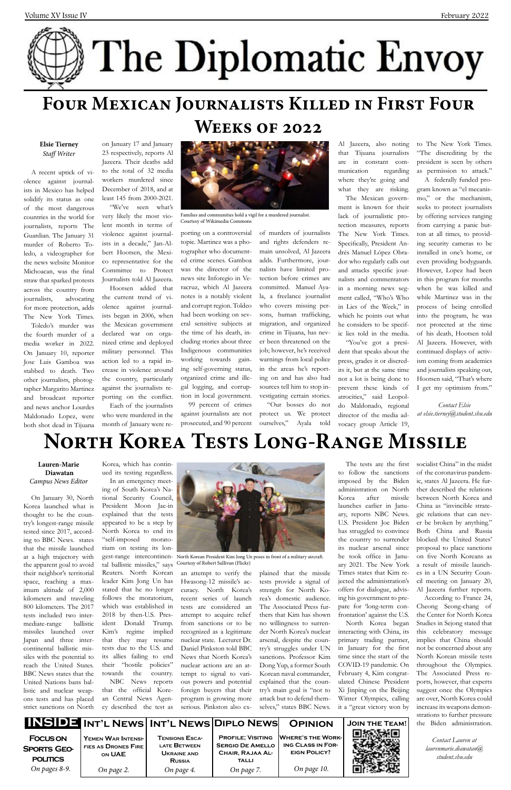|                                                                           |                                                                   |                                                                                     | INSIDE INT'L NEWS INT'L NEWS DIPLO NEWS                                                               | <b>OPINION</b>                                                                             | <b>JOIN THE TEAM!</b> |
|---------------------------------------------------------------------------|-------------------------------------------------------------------|-------------------------------------------------------------------------------------|-------------------------------------------------------------------------------------------------------|--------------------------------------------------------------------------------------------|-----------------------|
| <b>FOCUS ON</b><br><b>SPORTS GEO-</b><br><b>POLITICS</b><br>On pages 8-9. | YEMEN WAR INTENSI-<br>FIES AS DRONES FIRE<br>ON UAE<br>On page 2. | <b>TENSIONS ESCA-</b><br>LATE BETWEEN<br>UKRAINE AND<br><b>RUSSIA</b><br>On page 4. | <b>PROFILE: VISITING</b><br><b>SERGIO DE AMELLO</b><br>CHAIR, RAJAA AL-<br><b>TALLI</b><br>On page 7. | <b>WHERE'S THE WORK-</b><br><b>ING CLASS IN FOR-</b><br><b>EIGN POLICY?</b><br>On page 10. | ып                    |

# **North Korea Tests Long-Range Missile**

### **Lauren-Marie Diawatan**  *Campus News Editor*

On January 30, North Korea launched what is thought to be the country's longest-range missile tested since 2017, according to BBC News. states that the missile launched at a high trajectory with the apparent goal to avoid their neighbor's territorial space, reaching a maximum altitude of 2,000 kilometers and traveling 800 kilometers. The 2017 tests included two intermediate-range ballistic missiles launched over Japan and three intercontinental ballistic missiles with the potential to reach the United States. BBC News states that the United Nations bans ballistic and nuclear weapons tests and has placed strict sanctions on North

Korea, which has continued its testing regardless.

In an emergency meeting of South Korea's National Security Council, President Moon Jae-in explained that the tests appeared to be a step by North Korea to end its "self-imposed moratorium on testing its lontal ballistic missiles," says Courtesy of Robert Sullivan (Flickr) Reuters. North Korean leader Kim Jong Un has stated that he no longer follows the moratorium, which was established in 2018 by then-U.S. President Donald Trump. Kim's regime implied that they may resume tests due to the U.S. and its allies failing to end their "hostile policies" towards the country. NBC News reports that the official Korean Central News Agency described the test as

an attempt to verify the plained that the missile

Hwasong-12 missile's accuracy. North Korea's recent series of launch tests are considered an attempt to acquire relief from sanctions or to be recognized as a legitimate nuclear state. Lecturer Dr. Daniel Pinkston told BBC News that North Korea's nuclear actions are an attempt to signal to various powers and potential foreign buyers that their program is growing more serious. Pinkston also exsocialist China" in the midst of the coronavirus pandemic, states Al Jazeera. He further described the relations between North Korea and China as "invincible strategic relations that can never be broken by anything." Both China and Russia blocked the United States' proposal to place sanctions on five North Koreans as a result of missile launches in a UN Security Council meeting on January 20, Al Jazeera further reports. According to France 24, Cheong Seong-chang of the Center for North Korea Studies in Sejong stated that this celebratory message implies that China should not be concerned about any North Korean missile tests throughout the Olympics. The Associated Press reports, however, that experts suggest once the Olympics are over, North Korea could increase its weapons demonstrations to further pressure the Biden administration.

tests provide a signal of strength for North Korea's domestic audience. The Associated Press furthers that Kim has shown no willingness to surrender North Korea's nuclear arsenal, despite the country's struggles under UN sanctions. Professor Kim Dong Yup, a former South Korean naval commander, explained that the country's main goal is "not to attack but to defend themselves," states BBC News.

The tests are the first to follow the sanctions imposed by the Biden administration on North Korea after missile launches earlier in January, reports NBC News. U.S. President Joe Biden has struggled to convince the country to surrender its nuclear arsenal since he took office in January 2021. The New York Times states that Kim rejected the administration's offers for dialogue, advising his government to prepare for 'long-term confrontation' against the U.S. North Korea began interacting with China, its primary trading partner, in January for the first time since the start of the COVID-19 pandemic. On February 4, Kim congratulated Chinese President Xi Jinping on the Beijing Winter Olympics, calling it a "great victory won by

Al Jazeera, also noting that Tijuana journalists are in constant communication regarding where they're going and what they are risking.



# **Four Mexican Journalists Killed in First Four**

## **Weeks of 2022**

### **Elsie Tierney** *Staff Writer*

A recent uptick of violence against journalists in Mexico has helped solidify its status as one of the most dangerous countries in the world for journalists, reports The Guardian. The January 31 murder of Roberto Toledo, a videographer for the news website Monitor Michoacan, was the final straw that sparked protests across the country from journalists, advocating for more protection, adds The New York Times. Toledo's murder was the fourth murder of a media worker in 2022. On January 10, reporter Jose Luis Gamboa was stabbed to death. Two other journalists, photographer Margarito Martinez and broadcast reporter and news anchor Lourdes Maldonado Lopez, were



gest-range intercontinen-North Korean President Kim Jong Un poses in front of a military aircraft.

both shot dead in Tijuana

on January 17 and January 23 respectively, reports Al Jazeera. Their deaths add to the total of 32 media workers murdered since December of 2018, and at least 145 from 2000-2021.

"We've seen what's very likely the most violent month in terms of violence against journalists in a decade," Jan-Albert Hootsen, the Mexico representative for the Committee to Protect Journalists told Al Jazeera.

Hootsen added that the current trend of violence against journalists began in 2006, when the Mexican government declared war on organized crime and deployed military personnel. This action led to a rapid increase in violence around the country, particularly against the journalists reporting on the conflict.

Each of the journalists who were murdered in the month of January were reporting on a controversial topic. Martinez was a photographer who documented crime scenes. Gamboa was the director of the news site Inforegio in Veracruz, which Al Jazeera notes is a notably violent and corrupt region. Toldeo had been working on several sensitive subjects at the time of his death, including stories about three Indigenous communities working towards gaining self-governing status, organized crime and illegal logging, and corruption in local government.

99 percent of crimes against journalists are not prosecuted, and 90 percent of murders of journalists and rights defenders remain unsolved, Al Jazeera adds. Furthermore, journalists have limited protection before crimes are committed. Manuel Ayala, a freelance journalist who covers missing persons, human trafficking, migration, and organized crime in Tijuana, has never been threatened on the job; however, he's received warnings from local police in the areas he's reporting on and has also had sources tell him to stop investigating certain stories.

"Our bosses do not protect us. We protect ourselves," Ayala told

The Mexican government is known for their lack of journalistic protection measures, reports The New York Times. Specifically, President Andrés Manuel López Obrador who regularly calls out and attacks specific journalists and commentators in a morning news segment called, "Who's Who in Lies of the Week," in which he points out what he considers to be specific lies told in the media.

"You've got a president that speaks about the press, grades it or discredits it, but at the same time not a lot is being done to prevent these kinds of atrocities," said Leopoldo Maldonado, regional director of the media advocacy group Article 19,

to The New York Times. "The discrediting by the president is seen by others as permission to attack."

A federally funded program known as "el mecanismo," or the mechanism, seeks to protect journalists by offering services ranging from carrying a panic button at all times, to providing security cameras to be installed in one's home, or even providing bodyguards. However, Lopez had been in this program for months when he was killed and while Martinez was in the process of being enrolled into the program, he was not protected at the time of his death, Hootsen told Al Jazeera. However, with continued displays of activism coming from academics and journalists speaking out, Hootsen said, "That's where I get my optimism from."

*Contact Elsie at elsie.tierney@student.shu.edu*



Families and communities hold a vigil for a murdered journalist. Courtesy of Wikimedia Commons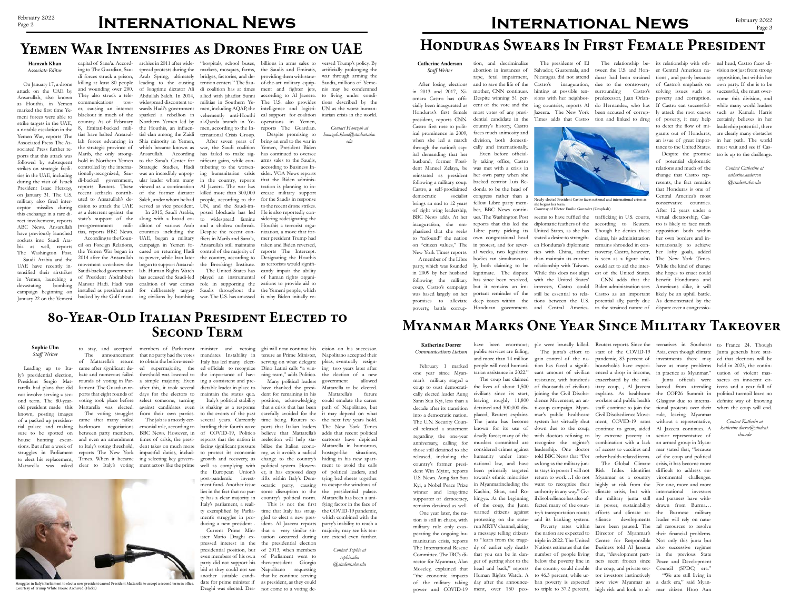# **Myanmar Marks One Year Since Military Takeover**

### **Katherine Dorrer** *Communications Liaison*



public services are failing, and more than 14 million people will need humanitarian assistance in 2022."

The coup has claimed

tion is still in chaos, with military rule only exas-run MRTV channel, airing perating the ongoing hu-a message telling citizens manitarian crisis, reports to "learn from the trage-The International Rescue dy of earlier ugly deaths

the lives of about 1,500 civilians since its start, leaving roughly 11,800 detained and 300,000 displaced, Reuters explains. The junta has become known for its use of considered crimes against towards ethnic minorities Kachin, Shan, and Roprotesting on the state-

Committee. The IRC's di- that you can be in dan- number of people living that, "development part- in the previous State rector for Myanmar, Alan ger of getting shot to the below the poverty line in ners seem frozen since Peace and Development Moseley, explained that head and back," reports the country could double the coup, and private sec- Council (SPDC) era." "the economic impacts Human Rights Watch. A to 46.3 percent, while ur-tor investors instinctively of the military taking day after the announce-ban poverty is expected now view Myanmar as a dark era," said Myanpower and COVID-19 ment, over 150 peo-to triple to 37.2 percent, high risk and look to al-mar citizen Htoo Aun

regarding the one-year deadly force; many of the with doctors refusing to by extreme poverty in senior representative of anniversary, calling for murders committed are recognize the regime's combination with a lack an armed group in Myanreleased, including the humanity under inter- told BBC News that "For other health-related items. of the coup and political country's former presi-national law, and have as long as the military jundent Win Myint, reports been primarily targeted ta stays in power I will not Risk Index identifies difficult to address engain control of the nation has faced a significant amount of civilian resistance, with hundreds dience Movement, an anti-coup campaign. Myansystem has virtually shut ment, COVID-19 rates authority in any way." Civ-climate crisis, but with il disobedience has also af-the military junta still and partners have with-

The junta's effort to start of the COVID-19 Asia, even though climate Junta generals have statpandemic, 83 percent of households have experi-have as many problems held in 2023, the continenced a drop in income, exacerbated by the milworkers and public health staff continue to join the

have been enormous; ple were brutally killed. Reuters reports. Since the ternatives in Southeast to France 24. Though investments there may ed that elections will be uation of violent massacres on innocent citdefinite way of knowing when the coup will end.

of thousands of civilians itary coup, , Al Jazeera barred from attending izens and a year full of joining the Civil Disobe-explains. As healthcare the COP26 Summit in political turmoil leave no mar's public healthcare Civil Disobedience Move-rule, leaving Myanmar down due to the coup, continue to grow, aided Al Jazeera continues. A leadership. One doctor of access to vaccines and mar stated that, "because return to work…I do not Myanmar as a country vironmental challenges. want to recognize their highly at risk from the For one, more and more fected many of the coun-in power, sustainability drawn from Burma… try's transportation routes efforts and climate re-the Burmese military and its banking system. silience developments leader will rely on natu-Poverty rates within have been paused. The ral resources to resolve the nation are expected to Director of Myanmar's their financial problems. triple in 2022. The United Centre for Responsible Not only this junta but Nations estimates that the Business told Al Jazeera also successive regimes The Global Climate crisis, it has become more Junta officials were Glasgow due to international protests over their without a representative, international investors

in practice as Myanmar."

house hunting excur- and even an amendment times of crisis, the presi- reports that the nation is reelection will help sta- cartoons have depicted sions. But after a week of to Italy's voting threshold, dent takes on much more facing significant pressure bilize the Italian econo- Mattarella in humorous, Mattarella was asked clear to Italy's voting ment actors like the prime well as complying with political system. Howevbackroom negotiations emonial role, according to battling their fourth wave ports that Italian leaders The New York Times between party members, BBC News. However, in of COVID-19, Politico believe that Mattarella's adds that recent political to protect its economic my, as it avoids a radical growth and recovery, as change to the country's the European Union's er, it has exposed deep Many political leaders have thanked the president for remaining in his position, acknowledging that a crisis that has been time being. Reuters rerifts within Italy's Democratic party, causing some disruption to the country's political norm.

## **80-Year-Old Italian President Elected to SECOND TERM**

"We are still living in

*Contact Katherin at katherine.dorrer@student. shu.edu*

## **Page 2 INTERNATIONAL NEWS**

## **Yemen War Intensifies as Drones Fire on UAE**

## **Sophie Ulm** *Staff Writer*

bate and numerous failed liament. The Guardian reports that eight rounds of voting took place before Mattarella was elected.

Leading up to Italy's presidential election, President Sergio Mattarella had plans that did not involve serving a second term. The 80-yearold president made this known, posting images of a packed up presidential palace and making sure to be spotted on struggles in Parliament reports The New York impactful duties, includto elect his replacement, Times. When it became ing selecting key govern-

came after many failed

rounds of voting in Par-a simple majority. Even after this, it took several select someone, turning

of Mattarella's return to obtain the before-need-Italy has led many electcame after significant de-ed supermajority, the ed officials to recognize Dino Latini calls "a winthreshold was lowered to the importance of hav-ning team," adds Politico. days for the electors to maintain the status quo. ing a consistent and predictable leader in place to

The voting struggles from their own parties. to the events of the past against candidates even is shaking as a response The job is a mostly cer-several years. Currently Italy's political stability post-pandemic investment fund. Another issue lies in the fact that no party has a clear majority in Italy's parliament, a reality exemplified by Parliament's struggles in producing a new president .

to stay, and accepted. members of Parliament minister and vetoing ghi will now continue his The announcement that no party had the votes mandates. Instability in tenure as Prime Minister, serving on what delegate

> Current Prime Min-that a very similar sitister Mario Draghi ex-uation occurred during pressed interest in the the presidential election presidential position, but of 2013, when members even members of his own of Parliament went to party did not support his then-president Giorgio bid as they could not see Napolitano requesting another suitable candi-that he continue serving date for prime minister if as president, as they could Draghi was elected. Dra-not come to a voting de-This is not the first time that Italy has struggled to elect a new president. Al Jazeera reports

carefully avoided for the it may depend on what Mattarella's future could emulate the career path of Napolitano, but the next few years hold. hostage-like situations, hiding in his new apartment to avoid the calls of political leaders, and tying bed sheets together to escape the windows of the presidential palace. Mattarella has been a unifying factor in the face of the COVID-19 pandemic, which combined with the party's inability to reach a majority, may see his ten-

cision on his successor. Napolitano accepted their pleas, eventually resigning two years later after the election of a new government allowed Mattarella to be elected.

ure extend even further.

*Contact Sophie at sophie.ulm @student.shu.edu*

**Hamzah Khan** *Associate Editor*

On January 17, a drone attack on the UAE by Ansarullah, also known as Houthis, in Yemen marked the first time Yemeni forces were able to strike targets in the UAE, a notable escalation in the Yemen War, reports The Associated Press. The Associated Press further reports that this attack was followed by subsequent strikes on strategic facilities in the UAE, including during the visit of Israeli President Isaac Herzog, on January 31. The U.S. military also fired interceptor missiles during this exchange in a rare direct involvement, reports ABC News. Ansarullah have previously launched rockets into Saudi Arabia as well, reports The Washington Post. Saudi Arabia and the UAE have recently intensified their airstrikes in Yemen, launching a devastating bombing campaign beginning on

January 22 on the Yemeni

ing to The Guardian, Saudi forces struck a prison, killing at least 80 people and wounding over 200. They also struck a telecommunications tower, causing an internet blackout in much of the country. As of February 8, Emirati-backed militias have halted Ansarullah forces advancing in the strategic province of Marib, the only stronghold in Northern Yemen controlled by the internationally-recognized, Saudi-backed government, reports Reuters. These recent setbacks contributed to Ansarullah's decision to attack the UAE as a deterrent against the state's support of the pro-government militias, reports BBC News. According to the Council on Foreign Relations, the Yemen War began in 2014 after the Ansarullah movement overthrew the Saudi-backed government

capital of Sana'a. Accord-archies in 2011 after wide-"hospitals, school buses, billions in arms sales to versed Trump's policy. By tention centers." The Saudi coalition has at times allied with jihadist Sunni militias in Southern Yemen, including AQAP, the vehemently anti-Houthi al-Qaeda branch in Yemen, according to the International Crisis Group. After seven years of

leading to the ousting of longtime dictator Ali Abdullah Saleh. In 2014, widespread discontent towards Hadi's government sparked a rebellion in Northern Yemen led by the Houthis, an influential clan among the Zaidi Shia minority in Yemen, Ansarullah. According to the Sana'a Center for nificant gains, while con-Strategic Studies, Hadi was an incredibly unpopular leader whom many Saleh, under whom he had served as vice president. In 2015, Saudi Arabia, along with a broad coalition of various Arab countries including the Despite the recent con-UAE, began a military campaign in Yemen focused on returning Hadi to power, while Iran later began to support Ansarullah. Human Rights Watch

which became known as war, the Saudi coalition viewed as a continuation Al Jazeera. The war has of the former dictator killed more than 300,000 has failed to make sigtributing to the worsening humanitarian crisis in the country, reports people, according to the UN, and the Saudi-imposed blockade has led to widespread famine and a cholera outbreak. flicts in Marib and Sana'a, Ansarullah still maintains control of the majority of the country, according to the Brookings Institute.

spread protests during the markets, mosques, farms, the Saudis and Emiratis, artificially prolonging the Arab Spring, ultimately bridges, factories, and de-providing them with stateof-the-art military equipment and fighter jets, according to Al Jazeera. The U.S. also provides intelligence and logistical support for coalition operations in Yemen, reports The Guardian.

has accused the Saudi-led played an instrumental The United States has

of President Abdrabbuh Mansur Hadi. Hadi was installed as president and for deliberately target-Saudis throughout the the Yemeni people, which backed by the Gulf mon-ing civilians by bombing war. The U.S. has amassed is why Biden initially re-

coalition of war crimes role in supporting the zations to provide aid to Despite promising to bring an end to the war in Yemen, President Biden has continued to oversee arms sales to the Saudis, according to Business Insider. VOA News reports that the Biden administration is planning to increase military support for the Saudis in response to the recent drone strikes. He is also reportedly considering redesignating the Houthis a terrorist organization, a move that former president Trump had taken and Biden reversed, reports The Intercept. Designating the Houthis as terrorists would significantly impair the ability of human rights organi-

war through arming the Saudis, millions of Yemenis may be condemned to living under conditions described by the UN as the worst humanitarian crisis in the world.

*Contact Hamzah at hamzah.khan@student.shu. edu*

## **Honduras Swears In First Female President**

**Catherine Anderson** *Staff Writer*

After losing elections in 2013 and 2017, Xiomara Castro has officially been inaugurated as Honduras's first female president, reports CNN. Castro first rose to political prominence in 2009, when she led a march through the nation's capital demanding that her husband, former President Manuel Zelaya, be reinstated as president following a military coup. Castro, a self-proclaimed

democratic socialist

brings an end to 12 years of right wing leadership, BBC News adds. At her inauguration, she emphasized that she seeks to "refound" the nation on "citizen values," The New York Times reports. A member of the Libre

party, which was founded in 2009 by her husband

tion, and decriminalize abortion in instances of rape, fetal impairment, and to save the life of the mother, CNN continues. Despite winning 51 percent of the vote and the most votes of any presidential candidate in the country's history, Castro faces much animosity and division, both domesti-

following the military has since been resolved, coup, Castro's campaign but it remains an imwas based largely on her portant reminder of the cally and internationally. Even before officially taking office, Castro was met with a crisis in her own party when she backed centrist Luis Redonda to be the head of congress rather than a fellow Libre party member, BBC News continues. The Washington Post reports that this led the Libre party picking its own congressional head in protest, and for several weeks, two legislative bodies ran simultaneously, both claiming to be legitimate. The dispute

The presidents of El Salvador, Guatemala, and Nicaragua did not attend hinting at possible tensions with her neighbor-Jazeera. The New York been accused of corrup-Times adds that Castro tion and linked to drug

promises to alleviate deep issues within the tions between the U.S. potential ally, partly due As demonstrated by the poverty, battle corrup- Honduran government. and Central America. to the strained nature of dispute over a congressioseems to have ruffled the trafficking in U.S. courts, diplomatic feathers of the United States, as she has stated a desire to strengthen Honduras's diplomatic ties with China, rather than maintain its current relationship with Taiwan. While this does not align est of the United States. she hopes to enact could with the United States' interests, Castro could Biden administration sees Americans alike, it will still be essential to rela-Castro as an important likely be an uphill battle.

surrounding Castro's predecessor, Juan Orlan-



Castro's inauguration, due to the controversy of Castro's emphasis on own party. If she is to be ing countries, reports Al do Hernandez, who has If Castro can successful-while many world leaders The relationship be-its relationship with oth-nal head, Castro faces ditween the U.S. and Hon-er Central American na-vision not just from strong duras had been strained tions , and partly because opposition, but within her solving issues such as successful, she must overpoverty and corruption. come this division, and an issue of great impor-in her path. The world tance to the United States. must wait and see if Cassuch as Kamala Harris certainly believes in her leadership potential , there are clearly many obstacles tro is up to the challenge.

according to Reuters. tro is likely to face much Though he denies these opposition both within claims, his administration her own borders and inremains shrouded in con-ternationally to achieve troversy. Castro, however, her lofty goals, added is seen as a figure who The New York Times. could act to aid the inter-While the kind of change CNN adds that the benefit Hondurans and Despite the promise of potential diplomatic relations and much of the change that Castro represents, the fact remains that Honduras is one of Central America's most conservative countries. After 12 years under a virtual dictatorship, Cas-

ly attack the root causes of poverty, it may help to deter the flow of migrants out of Honduras,

> *Contact Catherine at catherine.anderson @student.shu.edu*

Struggles in Italy's Parliament to elect a new president caused President Mattarella to accept a second term in office. Courtesy of Trump White House Archived (Flickr)

Newly-elected President Castro faces national and international crises as she begins her term. Courtesy of Héctor Emilio Gonzalez (Unsplash)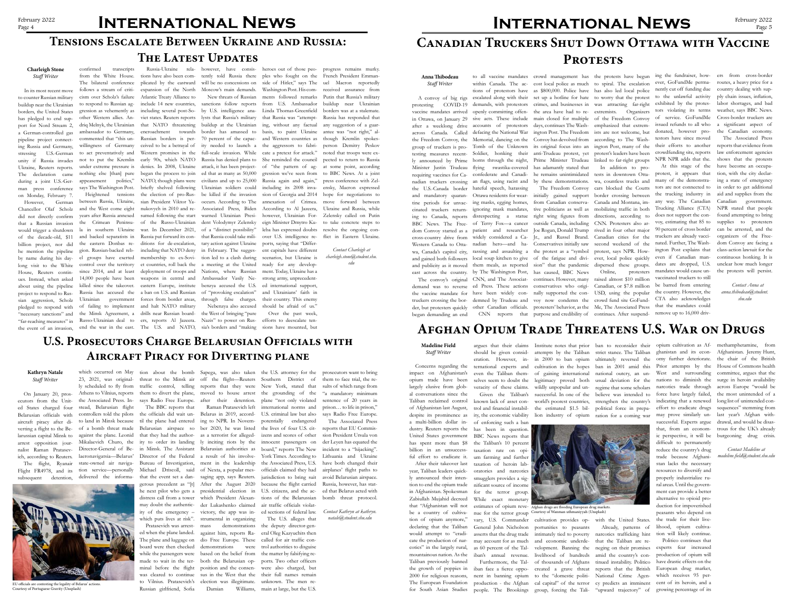## **Afghan Opium Trade Threatens U.S. War on Drugs**

**Madeline Field** *Staff Writer*

Concerns regarding the impact on Afghanistan's opium trade have been largely elusive from global conversations since the Taliban reclaimed control of Afghanistan last August, despite its prominence as a multi-billion dollar industry. Reuters reports the has spent more than \$8 billion in an unsuccessful effort to eradicate it. ity, the economic viability lion industry of opium ration for a coming war may prove similarly un-last year's Afghan with-Institute notes that prior ban to reconsider their opium cultivation as Af-methamphetamine, from attempts by the Taliban strict stance. The Taliban ghanistan and its econ-Afghanistan. Jeremy Hunt, omy further deteriorate. the chair of the British Prior attempts by the House of Commons health West and surrounding committee, argues that the nations to diminish the surge in heroin availability successful. Experts argue drawal, and would be disasthat, from an econom-trous for the UK's already ic perspective, it will be burgeoning drug crisis. across Europe "would be the most unintended of a long list of unintended consequences" stemming from

After their takeover last year, Taliban leaders quickly announced their intention to end the opium trade in Afghanistan. Spokesman Zabiullah Mujahid decreed that "Afghanistan will not be a country of cultivation of opium anymore," declaring that the Taliban would attempt to "eradicate the production of narcotics" in the largely rural, mountainous nation. As the Taliban previously banned the growth of poppies in 2000 for religious reasons, The European Foundation

United States government BBC News reports that known lack of asset control and financial instabilof enforcing such a ban has been in question. the Taliban's 10 percent taxation rate on opi um farming and further taxation of heroin laboratories and narcotics smugglers provides a significant source of income for the terror group. While exact monetary estimates of opium reve- Afghan drugs are flooding European drug markets. nue for the terror group Courtesy of Wanman uthmaniyyah (Unsplash)vary, U.S. Commander General John Nicholson asserts that the drug trade may account for as much as 60 percent of the Taliban's annual revenue. Furthermore, the Tal-

argues that their claims should be given consideration. However, international experts and even the Taliban themselves seem to doubt the veracity of these claims. Given the Taliban's

for South Asian Studies people. The Brookings group, forcing the Tali-"upward trajectory" of nent in banning opium to the "domestic politi-National Crime Agenproduction - the Afghan cal capital" of the terror cy predicts an imminent cultivation provides opportunities to peasants intimately tied to poverty and economic underdevelopment. Banning the livelihood of hundreds of thousands of Afghans created a grave threat

iban face a fierce oppo-

in 2000 to ban opium ultimately reversed the cultivation in the hopes ban in 2001 amid this of gaining international national outcry, an unlegitimacy proved both usual deviation for the wildly unpopular and unsuccessful. In one of the believe was intended to world's poorest countries, strengthen the country's the estimated \$1.5 bil-political force in prepa-

regime that some scholars



with the United States. Already, patterns of narcotics trafficking hint that the Taliban are reneging on their promises amid the country's continued instability. Politico reports that the British

controllers told the pilots the officials did wait un- Belarus in 2019, accordto land in Minsk because til the plane had entered ing to NPR. In Novem-The BBC reports that in Minsk. The Assistant Belarusian authorities as Director of the Federal a result of his involve-Bureau of Investigation, ment in the leadership Michael Driscoll, said that the event set a dangerous precedent as "[t] he next pilot who gets a distress call from a tower may doubt the authenticity of the emergency – victory, the app was inwhich puts lives at risk".

was cleared to continue sus in the West that the their full names remain to Vilnius. Pratasevich's election was illegitimate. unknown. The men rebased on the belief from the matter by falsifying reboth the Belarusian op-ports. Two other officers The U.S. alleges that the deputy director-general Oleg Kazyuchits then called for air traffic control authorities to disguise were also charged, but Williams, main at large, but the U.S.

Raman Pratasevich left of Nexta, a popular messaging app, says Reuters. After the August 2020 presidential election in which President Alexander Lukashenko claimed strumental in organizing mass demonstrations against him, reports Radio Free Europe. These demonstrations were position and the consen-Damian

narcotics trade through force have largely failed, indicating that a renewed effort to eradicate drugs difficult to permanently reduce the country's drug trade because Afghanistan lacks the necessary resources to diversify and properly industrialize rural areas. Until the government can provide a better alternative to opioid production for impoverished peasants who depend on the trade for their livelihood, opium cultivation will likely continue.

larussian capital Minsk to against the plane. Leonid that they had the author- as a terrorist for alleged- izens and scores of other sion President Ursula von arrest opposition jour- Mikalaevich Churo, the ity to order its landing ly inciting riots by the innocent passengers on der Leyen has equated the 23, 2021, was original-threat to the Minsk air off the flight—Reuters Southern District of ly scheduled to fly from traffic control, telling reports that they were New York, stated that Athens to Vilnius, reports them to divert the plane, moved to house arrest the grounding of the of a bomb threat made Belarusian airspace so ber 2020, he was listed the lives of four U.S. citplane "not only violated international norms and U.S. criminal law but also potentially endangered board," reports The New the Associated Press, U.S. officials claimed they had jurisdiction to bring suit because the flight carried U.S. citizens, and the actions of the Belarussian air traffic officials violated sections of federal law.

> Politico continues that experts fear increased production of opium will have drastic effects on the European drug market, which receives 95 percent of its heroin, and a growing percentage of its

## **Canadian Truckers Shut Down Ottawa with Vaccine**  PROTESTS

*Contact Madeline at madeline.field@student.shu.edu*

# February 2022 **INTERNATIONAL NEWS**

## **U.S. Prosecutors Charge Belarusian Officials with Aircraft Piracy for Diverting plane**

### **Kathryn Natale** *Staff Writer*

On January 20, prosecutors from the United States charged four Belarusian officials with aircraft piracy after diverting a flight to the Benalist Raman Pratasevich, according to Reuters.

the Associated Press. Instead, Belarusian flight Director-General of Belaeronavigatsia—Belarus'

which occurred on May tion about the bomb Sapega, was also taken the U.S. attorney for the says Radio Free Europe. after their detention.

began demanding an end CNN reports that purpose and credibility of continues. After suspend- remove up to 16,000 driv-Online, protesters

Pratasevich was arrested when the plane landed. The plane and luggage on board were then checked while the passengers were made to wait in the terminal before the flight Russian girlfriend, Sofia

within Canada. The ac- cost local police as much to spiral. The escalation ever, GoFundMe perma- routes, a heavy price for a tions of protestors have as \$800,000. Police have has also led local police nently cut off funding due country dealing with supescalated along with their set up a hotline for hate to worry that the protest to the unlawful activity

York Times. According to Lithuania and Ukraine The Associated Press reports that EU Commisincident to a "hijacking" have both changed their airplanes' flight paths to avoid Belarusian airspace. Russia, however, has stated that Belarus acted with

prosecutors want to bring them to face trial, the results of which range from "a mandatory minimum sentence of 20 years in prison… to life in prison," says Radio Free Europe.

bomb threat protocol.

*Contact Kathryn at kathryn. natale@student.shu.edu*

### **Anna Thibodeau** *Staff Writer*

protesting COVID-19 vaccine mandates arrived in Ottawa, on January 29 after a weeklong drive across Canada. Called ly announced by Prime horns through the night, Minister Justin Trudeau flying swastika-covered requiring vaccines for Ca-confederate and Canadithe U.S.-Canada border hateful speech, harassing tine periods for unvac-ing masks, egging homes, cinated truckers returning to Canada, reports disrespecting a statue BBC News. The Free-

"far-reaching measures" in Russo-Ukrainian deal to ers, reports Al Jazeera. Nazis" to power on Rus- efforts to deescalate ten-Russia has accused the a ban on U.S. and Russian of "provoking escalation" of failing to implement and halt NATO military the Minsk Agreement, a drills near Russian board-the West of bringing "pure tions have also been complicated by the eastward expansion of the North Atlantic Treaty Alliance to include 14 new countries, that NATO threatening encroachment towards Russian borders is perbegan the process to join ed that as many as 50,000 NATO, though plans were civilians and up to 25,000 briefly shelved following Ukrainian soldiers could the election of pro-Rus-be killed if the invasion sian President Viktor Yanukovych in 2010 and resumed following the start of the Russo-Ukrainian war. In December 2021, Russia put forward its con-that Russia could take miliditions for de-escalation, including that NATO deny membership to ex-Soviet countries, roll back the a meeting at the United deployment of troops and Nations, where Russian weapons in central and Ambassador Vasily Neeastern Europe, institute benzya accused the U.S. forces from border areas, through false charges.

A convoy of big rigs ignoring mask mandates,



EU officials are contesting the legality of Belarus' actions. Courtesy of Portuguese Gravity (Unsplash)

the Freedom Convoy, the Memorial, dancing on the Convoy has devolved from group of truckers is pro-Tomb of the Unknown its original focus into an ington Post, many of the their efforts to another testing measures recent-Soldier, honking their anti-Trudeau protest, yet protest's leaders have been nadian truckers crossing an flags, using racist and by these demonstrations. demands, with protestors crimes, and businesses in was attracting far-right exhibited by the protesopenly committing offen-the area have had to re-extremists. Organizers tors violating its terms sive acts. These include main closed for multiple of the Freedom Convoy of service. GoFundMe accounts of protestors days, continues The Wash-emphasized that extremdefacing the National War ington Post. The Freedom ists are not welcome, but Prime Minister Trudeau has adamantly stated that he remains unintimidated

and mandatory quaran-Ottawa residents for wear-initially gained support border crossing between dom Convoy started as a patient and researcher Joe Rogan, Donald Trump rived in four other major cross-country drive from widely considered a Ca-Jr., and Russel Brand. Western Canada to Otta-nadian hero—and ha-Conservatives initially saw second weekend of the wa, Canada's capitol city, rassing and assaulting a the protest as a "symbol and gained both followers local soup kitchen to give of the fatigue and divi-ever, local police quickly and publicity as it moved them meals, as reported sion" that the pandemic dispersed these groups. east across the country. by The Washington Post, has caused, BBC News The convoy's original CNN, and The Associat- continues. However, many raised almost \$10 million demand was to reverse ed Press. These actions conservatives who origi-Canadian, or \$7.8 million the vaccine mandate for have been widely con-nally supported the con-USD, using the popular the country. However, the truckers crossing the bor-demned by Trudeau and voy now condemn the crowd fund site GoFund-CTA also acknowledges der, but protesters quickly other Canadian officials. protesters' behavior, as the Me, The Associated Press of Terry Fox—a cancer outside Canada, including from Canadian conserva-Canada and Montana, imtive politicians as well as right wing figures from

to all vaccine mandates crowd management has the protests have begun ing the fundraiser, how-ers from cross-border issued refunds to all who donated, however protestors have since moved crowdfunding site, reports NPR NPR adds that the.

> The Freedom Convoy cars blocked the Coutts tests in downtown Ottawa, countless trucks and mobilizing traffic in both directions, according to CNN. Protesters also ar-Canadian cities for the protest, says NPR. How-

according to The Washlinked to far-right groups In addition to pro-

At this stage of the protest, it appears that many of the demonstrators are not connected to the trucking industry in any way. The Canadian Trucking Alliance (CTA) does not support the convoy, estimating that 85 to 90 percent of cross border truckers are already vaccinated. Further, The Washington Post explains that even if Canadian mandates are dropped, U.S. mandates would cause unvaccinated truckers to still be barred from entering that the mandates could

ply chain issues, inflation, labor shortages, and bad weather, says BBC News. Cross-border truckers are a significant aspect of the Canadian economy.

The Associated Press reports that evidence from law enforcement agencies shows that the protests have become an occupation, with the city declaring a state of emergency in order to get additional aid and supplies from the Canadian government. NPR stated that people found attempting to bring supplies to protesters can be arrested, and the organizers of the Freedom Convoy are facing a class-action lawsuit for the continuous honking. It is unclear how much longer the protests will persist.

*Contact Anna at anna.thibodeau@student. shu.edu*

# **Tensions Escalate Between Ukraine and Russia:**

## **The Latest Updates**

### **Charleigh Stone** *Staff Writer*

In its most recent move to counter Russian military buildup near the Ukrainian borders, the United States has pledged to end support for Nord Stream 2, a German-controlled gas pipeline project connecting Russia and Germany, stressing U.S.-German unity if Russia invades Ukraine, Reuters reports. The declaration came during a joint U.S.-German press conference on Monday, February 7.

However, German Chancellor Olaf Scholz did not directly confirm that a Russian invasion would trigger a shutdown of the decade-old, \$11 billion project, nor did he mention the pipeline by name during his daylong visit to the White House, Reuters continues. Instead, when asked about using the pipeline project to respond to Russian aggression, Scholz pledged to respond with "necessary sanctions" and

confirmed transcripts from the White House. The bilateral conference follows a stream of criticism over Scholz's failure to respond to Russian aggression as vehemently as other Western allies. Andriq Melnyk, the Ukrainian ambassador to Germany, commented that "this unwillingness of Germany to act preventatively and not to put the Kremlin under extreme pressure is nothing else [than] pure appeasement politics," says The Washington Post.

the event of an invasion, end the war in the east. The U.S. and NATO, sia's borders and "making sions have mounted, but Heightened tensions between Russia, Ukraine, and the West come eight years after Russia annexed the Crimean Peninsula in southern Ukraine and backed separatists in the eastern Donbas region. Russian-backed rebel groups have exerted control over the territory since 2014, and at least 14,000 people have been killed since the takeover. Ukrainian government

Russia-Ukraine rela-however, have consis-heroes out of those peo-progress remains murky. will be no concessions on Moscow's main demands.

> New threats of Russian sanctions follow reports occurs. According to The Associated Press, Biden warned Ukrainian President Volodymyr Zelensky of a "distinct possibility" tary action against Ukraine in February. The suggestion led to a clash during

including several post-So-by U.S. intelligence ana-Linda Thomas-Greenfield viet states. Reuters reports lysts that Russia's military that Russia was "attemptceived to be a betrayal of ity needed to launch a the aggressors to fabri-Western promises in the full-scale invasion. While cate a pretext for attack." early 90s, which NATO Russia has denied plans to She reminded the council denies. In 2008, Ukraine attack, it has been project-of "the pattern of ag-at some point, according tently told Russia there ples who fought on the buildup at the Ukrainian ing, without any factual any suggestion of a guarborder has amassed to basis, to paint Ukraine 70 percent of the capac-and Western countries as side of Hitler," says The Washington Post. His comments followed remarks from U.S. Ambassador gression we've seen from Russia again and again," including its 2008 invaannexation of Crimea. According to Al Jazeera, however, Ukrainian Foreign Minister Dmytro Kuleba has expressed doubts ports, saying that "Different capitals have different scenarios, but Ukraine is ready for any development. Today, Ukraine has a strong army, unprecedented international support, and Ukrainians' faith in their country. This enemy

Nebenzya also accused

should be afraid of us." Over the past week,

sion of Georgia and 2014 hope for negotiations to over U.S. intelligence re-flict in Eastern Ukraine. French President Emmanuel Macron reportedly received assurance from Putin that Russia's military buildup near Ukrainian borders was at a stalemate. Russia has responded that antee was "not right," although Kremlin spokesperson Demitry Peskov noted that troops were expected to return to Russia to BBC News. At a joint press conference with Zelensky, Macron expressed move forward between Ukraine and Russia, while Zelensky called on Putin to take concrete steps to resolve the ongoing con-

> *Contact Charleigh at charleigh.stone@student.shu. edu*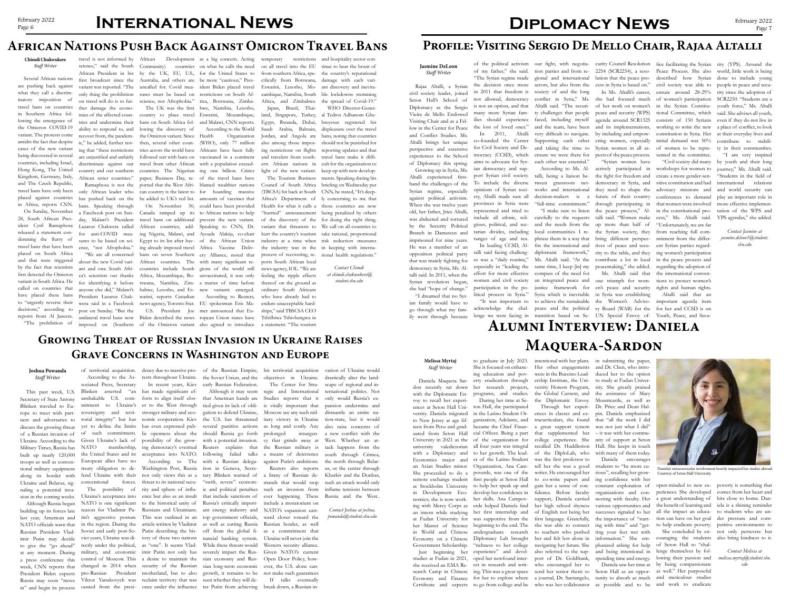# **International News**

## **African Nations Push Back Against Omicron Travel Bans**

### **Chimdi Chukwukere** *Staff Writer*

Several African nations are pushing back against what they call a discriminatory imposition of travel bans on countries in Southern Africa following the emergence of the Omicron COVID-19 variant. The protests come amidst the fact that despite cases of the new variant being discovered in several countries, including Israel, Hong Kong, The United Kingdom, Germany, Italy, and The Czech Republic, travel bans have only been placed against countries in Africa, reports CNN.

On Sunday, November 28, South African President Cyril Ramaphosa released a statement condemning the flurry of travel bans that have been placed on South Africa and that were triggered by the fact that scientists first detected the Omicron variant in South Africa. He called on countries that have placed these bans to "urgently reverse their decisions," according to reports from Al Jazeera. "The prohibition of

by the UK, EU, U.S., for the United States to Australia, and others are be more "cautious," Presuncalled for. Covid mea-ident Biden placed travel sures must be based on restrictions on South Afscience, not Afrophobia." rica, Botswana, Zimba-The UK was the first bwe, Namibia, Lesotho, countries on what he calls the need

travel is not informed by science," said the South African President in his first broadcast since the variant was reported. "The only thing the prohibition on travel will do is to further damage the economies of the affected counability to respond to, and recover from, the pandeming that "these restrictions are unjustified and unfairly African sister countries."

On November 30, could have been provided According to the World Organization

Ramaphosa is not the only African leader who has pushed back on the bans. Speaking through a Facebook post on Sunday, Malawi's President Lazarus Chakwera called for anti-COVID measures to be based on sci-"We are all concerned about the new Covid variant and owe South Africa's scientists our thanks President Lazarus Chakpost on Sunday. "But the

Community)

tries and undermine their bans on South Africa fol-and Malawi, CNN reports. ic," he added, further not-then, several other coun-(WHO), only 77 million discriminate against our travel from other African with a population exceedcountry and our southern countries. The Nigerian ing one billion. Critics ence, "not Afrophobia." ing already imposed travel Africa Vaccine Delivfor identifying it before tswana, Namibia, Zim-a matter of time before anyone else did," Malawi's babwe, Lesotho, and Es-new variants emerged. country to place travel Eswatini, Mozambique, lowing the discovery of the Omicron variant. Since tries across the world have Africans have been fully followed suit with bans on vaccinated in a continent paper, Business Day, re-of the travel bans have ported that the West Afri-blamed wealthier nations can country is the latest to for hoarding massive be added to UK's red list. amounts of vaccines that Canada ramped up its to African nations to help travel bans on additional prevent the new variant. African countries, add-Speaking to CNN, Dr. ing Nigeria, Malawi, and Ayoade Alakija, co-chair Egypt to its list after hav-of the African Union bans on seven Southern ery Alliance, noted that African countries. The with many significant recountries include South gions of the world still Africa, Mozambique, Bo-unvaccinated, it was only watini, reports Canadian

African Development as a big concern. Acting temporary restrictions Eswatini, Lesotho, Mozambique, Namibia, South

U.S. President Joe mer announced that Eu-According to Reuters,

wera said in a Facebook news agency, Toronto Star. EU spokesman Eric Maunilateral travel bans now Biden described the news ropean Union states have imposed on (Southern of the Omicron variant also agreed to introduce a statement. "The tourism

Japan, Brazil, Thai-Egypt, Rwanda, Dubai, also among those imposing restrictions on flights and travelers from south-

on all travel into the EU tinue to bear the brunt of from southern Africa, spe-the country's reputational cifically from Botswana, damage with each vari-Africa, and Zimbabwe. the spread of Covid-19." restrictions and hospitality sector conant discovery and inevitable lockdowns stemming

of the discovery of the variant that threatens to hurt the country's tourism industry at a time when process of recovering, re-tional health regulations." ports South African local news agency, IOL. "We are feeling the ripple effects thereof on the ground as ordinary South Africans who have already had to endure unacceptable hardships," said TBSCSA CEO Tshifhiwa Tshivhengwa in

land, Singapore, Turkey, al Tedros Adhanom Ghe-Saudi Arabia, Bahrain, displeasure over the travel Jordan, and Angola are bans, noting that countries ern African nations in cult for the organization to light of the new variant. keep up with new develop-The Tourism Business ments. Speaking during his Council of South Africa briefing on Wednesday per (TBCSA) hit back at South CNN, he stated, "It's deep-Africa's Department of ly concerning to me that Health for what it calls a those countries are now "hurried" announcement being penalized by others the industry was in the in keeping with interna-WHO Director-Generbreyesus registered his should not be punished for reporting updates and that travel bans make it diffifor doing the right thing. We call on all countries to take rational, proportional risk reduction measures

> *Contact Chimdi at chimdi.chukwukere@ student.shu.edu*

**Alumni Interview: Daniela** 

**Maquera-Sardon**

**Melissa Myrtaj** *Staff Writer*

Daniela Maquera Sar-

don recently sat down with the Diplomatic Envoy to recall her experiences at Seton Hall Unito New Jersey at age fifteen from Peru and grad-

versity. Daniela migrated in the Latino Student Oruated from Seton Hall cial Officer. Being a part that supplemented her - it was with her commu-University in 2021 as the of the organization for college experience. She nity of support at Seton university valedictorian all four years was integral recalled Dr. Huddleston Hall. She keeps in touch with a Diplomacy and to her growth. The lead- of the DiploLab, who with many of them today. Economics major and er of the Latino Student was the first professor to an Asian Studies minor. Organization, Ana Cam-tell her she was a good She proceeded to do a poverde, was one of the remote exchange student first people at Seton Hall at Stockholm University to help her speak up and in Development Eco-develop her confidence in nomics; she is now work-her skills. Ana Campoving with Mercy Corps as erde helped Daniela find an intern while studying her first internship and at Fudan University for was supportive from the her Master of Science beginning to the end. The in World and Chinese undergraduate research Economy on a Chinese Diplomacy Lab brought Government Scholarship. "richness to her college navigating her future. She phasized asking for help of Seton Hall to "chal-Just beginning her experience" and devel- also referred to the sup- and being intentional in lenge themselves by folstudies at Fudan in 2021, oped her newfound inter-port of Dr. Goldfrank, spending time and energy. lowing their passion and she received an EMA Re-est in research and writ-who encouraged her to Daniela saw her time at by being compassionate search Camp in Chinese ing. This was a great space send her senior thesis to Seton Hall as an oppor-as well." Her purposeful Economy and Finance for her to explore where a journal, Dr. Santangelo, tunity to absorb as much and meticulous studies During her time at Seton Hall, she participated ganization, Adelante, and became the Chief Finan-

to graduate in July 2023. She is focused on enhancing education and poverty eradication through her research projects, programs, and studies.

our fight, with negotia- curity Council Resolution fice facilitating the Syrian rity (YPS). Around the even if they do not live in

intentional with her plans. in submitting the paper, Her other engagements and Dr. Chen, who introwere in the Buccino Lead-duced her to the option ership Institute, the Uni-to study at Fudan Univerversity Honors Program, sity. She greatly praised the Global Current, and the Diplomatic Envoy.

of a Russian invasion of of such commitment. lic openness about the should Russia go forth prolonged insurgen-a new conflict with the Ukraine. According to the Given Ukraine's lack of possibility of the grow- with a potential invasion. cy that grinds away at West. Whether an at-Military Times, Russia has NATO membership, ing democracy's eventual Reuters explains that the Russian military is tack happens from the built up nearly 120,000 the United States and its acceptance into NATO. following failed talks a means of deterrence south through Crimea, troops as well as conven-European allies have no According to The with a Russian delega-against Putin's ambitions. the north through Belartional military equipment treaty obligation to de-Washington Post, Russia tion in Geneva, Secre-Reuters also reports along its border with fend Ukraine with their not only views this as a tary Blinken warned of a litany of Russian de-NATO officials warn that in the region. During the article written by Vladimir as well as cutting Russia Russian border, as well to give the "go ahead" rectly under the political, as "one". It seems Vlad- While these threats would Western security alliance. at any moment. During military, and economic imir Putin not only has severely impact the Rus-Given NATO's current a press conference this control of Moscow. This a desire to maintain the sian economy and Rus-Open Door Policy, howweek, CNN reports that changed in 2014 when security of the Russian sian long-term economic ever, the U.S. alone can-President Biden expects pro-Russian President motherland, but to also growth, it remains to be not make such guarantees Russia may soon "move Viktor Yanukovych was reclaim territory that was seen whether they will de-If talks eventually in" and begin its process ousted from the presi-once under the influence ter Putin from achieving break down, a Russian inconventional forces. threat to its national secu-"swift, severe" econom-mands that would stop The possibility of rity and sphere of influ- ic and political penalties such an invasion from Ukraine's acceptance into ence but also as an insult that include sanctions of ever happening. These NATO is one significant to the historical unity of Russia's critically import-include a moratorium on reason for Vladimir Pu-Russians and Ukrainians. ant energy industry and NATO's expansion easttin's aggressive posture This was outlined in an top government officials, ward closer toward the Soviet and early post-So- Putin describing the his- off from the global fi- as a commitment that viet years, Ukraine was di-tory of these two nations nancial banking system. Ukraine will never join the has made significant efforts to align itself clos- that American hands are Studies reports that it only would Russia's exer to the West through tied given its lack of obli-is vitally important that pansion undermine and stronger military and eco-gation to defend Ukraine, Moscow see any such milnomic cooperation. Kiev the U.S. has threatened itary victory in Ukraine tion-state, but it would has even expressed pub- several punitive actions as long and costly. Any also raise concerns of

of territorial acquisition. dency due to massive pro-of the Russian Empire, his territorial acquisition tests throughout Ukraine. the Soviet Union, and the objectives in Ukraine. drastically alter the land-

Certificate and expects to go from college and be who was her collaborator as possible and to be and work to eradicate

the assistance of Mary Mountcastle, as well as Dr. Price and Dean Halpin. Daniela emphasized

Through her experiences in classes and extracurriculars, she found that "all the work I did a great support system was not just what I did" writer. He encouraged her to co-write papers and ing confidence with her gain her a sense of con-constant exploration of fidence. Before faculty support, Daniela carried her high school shyness various opportunities and of English not being her successes signaled to her first language. Gratefully, the importance of "startshe was able to connect ing with time" and "getto teachers who pushed ting your feet wet with her and felt less alone in information." She em-couraging the students

Daniela encourages students to "be more curious", recalling her groworganizations and con-

necting with faculty. Her a great understanding of hits close to home. Danopen-minded to new ex-poverty is something that periences. She developed comes from her heart and the benefit of learning and iela is a shining reminder all the impact an educa-to students who are untion can have on her goal der pressure and comto help eradicate poverty. petitive environments to

She concluded by en-not only persevere but also bring kindness to it.

> *Contact Melissa at melissa.myrtaj@student.shu. edu*

## **Profile: Visiting Sergio De Mello Chair, Rajaa Altalli**

## **Jasmine DeLeon** *Staff Writer*

Rajaa Altalli, a Syrian civil society leader, joined Seton Hall's School of Diplomacy as the Sergio Vieira de Mello Endowed Visiting Chair and as a Fellow in the Center for Peace and Conflict Studies. Ms. Altalli brings her unique perspective and extensive experiences to the School of Diplomacy this spring.

Growing up in Syria, Ms.

Altalli experienced firsthand the challenges of the Syrian regime, especially against political activism. When she was twelve years old, her father, Jries Altalli, was abducted and tortured by the Security Political Branch in Damascus and imprisoned for nine years. He was a member of an opposition political party that was mainly fighting for democracy in Syria, Ms. Altalli said. In 2011, when the Syrian revolution began, she had "hope of change." "I dreamed that no Syrian family would have to

go through what my family went through because of the political activism

of my father," she said. "The Syrian regime made the decision once more in 2011 that freedom is not allowed, democracy is not an option, and that many more Syrian families should experience the loss of loved ones." In 2011, Altalli

co-founded the Center for Civil Society and Democracy (CCSD), which aims to advocate for Syrian democracy and support Syrian civil society. To include the diverse opinions of Syrian society, Altalli made sure all provinces in Syria were represented and tried to include all ethnic, religious, political, and sectarian divides, including ranges of age and sex.

In leading CCSD, Altalli said facing challenges was a "daily routine," especially in "leading the effort for more effective compass of the need for women and civil society participation in the po-

gional and international society of and the long conflict in Syria," Ms. she had focused much of women's participation SCR2250. "Students are a Altalli said. "The securi-of her work on women's in the Syrian Constitu-youth force," Ms. Altalli ty challenges that people faced, including myself and the team, have been very difficult to navigate. by including and empow-Supporting each other ering women, especially and taking the time to ensure we were there for pects of the peace process. each other was essential."

talli, being a liaison between grassroots networks and international decision-makers is a "full-time commitment."

litical process in Syria." Syria which is inevitable in Syria was establishing "It was important to to achieve the sustainable the Women's Adviso-important agenda item acknowledge the chal-peace and the political ry Board (WAB) for the for her and CCSD is on lenge we were facing in transition based on Se-UN Special Envoy of-Youth, Peace, and Secu-"I make sure to listen carefully to the requests talli said. "Women make and the needs from the up more than half of local communities. I re-the Syrian society, they phrase them in a way that bring different perspecfits the international and diplomatic framework," rity to the table, and they Ms. Altalli said. "At the contribute a lot in local same time, I keep [in] my peacemaking," she added. an integrated peace and one triumph for womjustice framework for en's peace and security

According to Ms. Al-actively participated in "Syrian women have the fight for freedom and democracy in Syria, and they need to shape the future of their country through participating in the peace process," Altives of peace and secu-

peace and security (WPS) agenda around SCR1325 and its implementations, Syrian women in all as-

tion parties and from re-2254 (SCR2254), a reso-Peace Process. She also world, little work is being actors, but also from the cess in Syria is based on." civil society was able to people in peace and secu-

lution that the peace pro-described how Syrian done to include young In Ms. Altalli's career, ensure around 28-29% rity since the adoption of tional Committee, which said. She advises all youth, consists of 150 Syrians working to write the new a place of conflict, to look constitution in Syria. Her at their everyday lives and initial demand was 50% contribute to stabiliof women to be repre-ty in their communities. sented in the committee.

Ms. Altalli said that

workshops for women to create a more gender-sensitive constitution and had advocacy missions and conferences to demand that women were involved in the constitutional process," Ms. Altalli said. "Unfortunately, we are far from reaching full commitment from the different Syrian parties regarding women's participation in the peace process and regarding the adoption of the international conventions to protect women's rights and human rights.

Altalli said that an

"Civil society did many by youth and their long "I am very inspired journey," Ms. Altalli said. "Students in the field of international relations and world security can play an important role in more effective implementation of the WPS and YPS agendas," she added.

> *Contact Jasmine at jasmine.deleon1@student. shu.edu*

## **Growing Threat of Russian Invasion in Ukraine Raises Grave Concerns in Washington and Europe**

### **Joshua Powanda** *Staff Writer*

This past week, U.S. Secretary of State Antony Blinken traveled to Europe to meet with part-Ukraine and Belarus, signaling a potential invasion in the coming weeks.

Although Russia began building up its forces late last year, American and Russian President Vladimir Putin may decide

ners and adversaries to torial integrity" but has discuss the growing threat yet to define the limits According to the Associated Press, Secretary Blinken asserted unshakable U.S. commitment to Ukraine's sovereignty and terri-

In recent years, Kiev early Russian Federation.

Although it may seem tegic and International The Center for Stra-

vasion of Ukraine would

scape of regional and international politics. Not

dismantle an entire na-

us, or the center through Kharkiv and the Donbas, such an attack would only inflame tensions between Russia and the West..

*Contact Joshua at joshua. powanda@student.shu.edu*



Daniela's extracurricular involvement heavily impacted her studies abroad. Courtesy of Seton Hall University.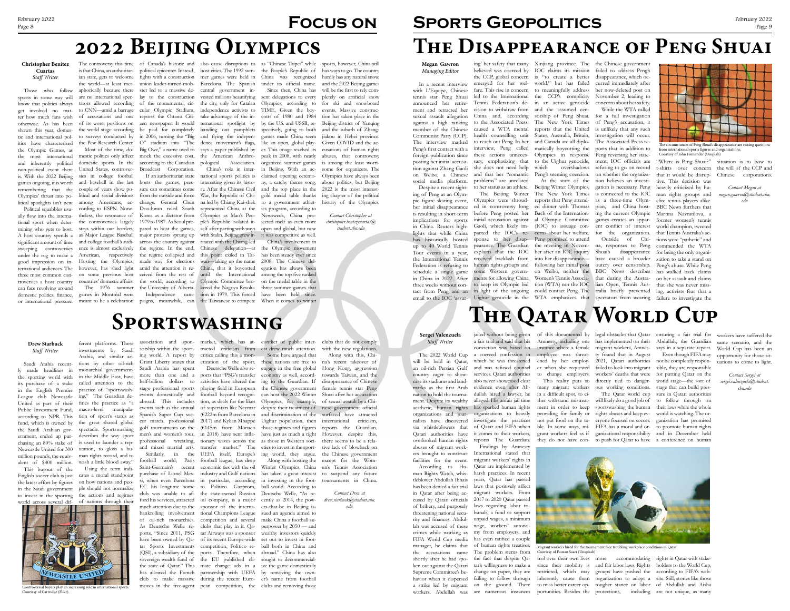**Megan Gawron** *Managing Editor*

In a recent interview with L'Equipe, Chinese tennis star Peng Shuai announced her retirement and retracted her sexual assault allegation against a high ranking member of the Chinese Communist Party (CCP). The interview marked Peng's first contact with a foreign publication since posting her initial accusation against Zhang Gaoli on Weibo, a Chinese social media platform.

Despite a recent sight-

ing of Peng at an Olympic figure skating event, her initial disappearance is resulting in short-term implications for sports in China. Reuters highlights that while China has historically hosted up to 40 World Tennis the International Tennis Federation is refusing to schedule a single game in China in 2022. After three weeks without contact from Peng and an

emerged for her wel-world," but has failed fare. This rise in concern to meaningfully address led to the International the CCP's complicity Tennis Federation's de-in an active genocide cision to withdraw from and the assumed cen-China and, according sorship of Peng Shuai. to the Associated Press, caused a WTA mental health counselling unit to reach out Peng. In her interview, Peng called these actions unnecessary, emphasizing that she does not need help and that her "romantic Peng's seeming coercion. problems" are unrelated to her status as an athlete.

The Beijing Winter Olympics were shroud-

Tour events in a year, explains that the IOC ber after an IOC inquiry Shuai's disappearance ed in controversy long ed dinner with Thomas pian, and China hostbefore Peng posted her Bach of the Internation-ing the current Olympic initial accusation against al Olympic Committee games creates an appar-Gaoli, which likely im-(IOC) to assuage con-ent conflict of interest pacted the IOC's re-cerns about her welfare. for the organization. sponse to her disap-Peng promised to attend pearance. The Guardian the meeting in Novem-na, responses to Peng received backlash from into her disappearance— have caused a broader human rights groups and following her initial post outcry over censorship. some Western govern-on Weibo, neither the BBC News describes ments for allowing China Women's Tennis Associa-that during the Austrato keep its Olympic bid tion (WTA) nor the IOC lian Open, Tennis Ausin light of the ongoing could contact Peng. The tralia briefly prevented ing, activists fear that a At the start of the Beijing Winter Olympics, The New York Times reports that Peng attend-

ing' her safety that many Xinjiang province. The the Chinese government believed was coerced by IOC claims its mission failed to address Peng's the CCP, global concern is "to create a better disappearance, which oc-The New York Times reports that the United States, Australia, Britain, and Canada are all diplomatically boycotting the Olympics in response to the Uighur genocide, which overshadows

email to the IOC 'assur-Uighur genocide in the WTA emphasizes that spectators from wearing failure to investigate the that it would be disrup-Chinese corporations. tive. This decision was heavily criticized by human rights groups and elite tennis players alike. BBC News furthers that Martina Navratilova, a former women's tennis world champion, tweeted that Tennis Australia's actions were "pathetic" and commended the WTA for being the only organization to take a stand on Peng's abuse. While Peng has walked back claims on her assault and claims that she was never miss-

is that China, an authoritar-political epicenter. Instead, host cities. The 1992 sum-the People's Republic of has ways to go. The country ian state, gets to welcome fights with a construction mer games were held in China was recognized hardly has any natural snow, the world—at least met- union leader-turned-mob- Barcelona. The Spanish under its official name. and the 2022 Beijing games Since then, China has will be the first to rely comsports, however, China still pletely on artificial snow tion has taken place in the and the suburb of Zhangjiakou in Hebei province. Given COVID and the accusations of human rights abuses, that controversy is among the least worrisome for organizers. The Olympics have always been about politics, but Beijing 2022 is the most interesting chapter of the political history of the Olympics.

curred immediately after her now-deleted post on November 2, leading to concerns about her safety.

While the WTA called for a full investigation of Peng's accusation, it is unlikely that any such investigation will occur. The Associated Press reports that in addition to Peng reversing her statement, IOC officials are refusing to go on record on whether the organization believes an investigation is necessary. Peng is connected to the IOC as a three-time Olym-

Outside of Chi-

"Where is Peng Shuai?" situation is to bow to t-shirts over concern the will of the CCP and

> *Contact Megan at megan.gawron@student.shu. edu*

# **The Disappearance of Peng Shuai**

### **Christopher Benítez Cuartas** *Staff Writer*

tional sport when deter- the controversies largely 1979 to 1987. As Seoul pre- ple's Republic isolated it- jected itself as even more mining who gets to host. stays within our borders, pared to host the games, self after parting with ways open and global, but now A host country spends a as Major League Baseball major protests sprung up with Stalin. Beijing grew ir-it was competitive as well. sweeping controversies ence is almost exclusively the regime. In the end, Chinese delegation—at the Olympic movement domestic politics, finance, games in Montréal were Independence cam-tion in 1979. This forced have been held since. tators allowed according of the monumental, cir- the city, only for Catalan Olympics, according to for ski and snowboard to CNN—amid a barrage cular Olympic Stadium, independence activists to TIME. Given the boy-events. Massive constructhe world stage according be paid for completely handing out pamphlets spectively, going to both couple of years show po-sure can sometimes come ry. After the Chinese Civil and the top place in the ternational spotlight by by the U.S. and USSR, re-Beijing district of Yanqing China's role in inter-in Beijing. With an acrepresented China at the ics program, according to sent delegations to every cotts of 1980 and 1984 games made China seem like an open, global player. This image reached its peak in 2008, with neatly organized summer games claimed opening ceremony, a catchy theme song, gold medal table thanks Newsweek, China pro-China's involvement in has been steady ever since 2008. The Chinese delegation has always been among the top five ranked on the medal table in the three summer games that

sports in some way will know that politics always get involved no matter how much fans wish shown this year, domesthe Olympic Games, as the most international and inherently political non-political event there United States, controver-Broadcast Corporation. is. With the 2022 Beijing sies in college football games ongoing, it is worth remembering that the

good impression on international audiences. The three most common controversies a host country can face revolving around

Those who follow aphorically because there ster led to a massive de-central government inotherwise. As has been of its worst positions on zen newspaper. It would tic and international pol-to surveys conducted by in 2006, turning the "Big and flying the indepenitics have characterized the Pew Research Center. O" stadium into "The dence movement's flags, The controversy this time of Canada's historic and also cause disruptions to as "Chinese Taipei" while are no international spec-lay to the construction vested millions beautifying of accusations and one reports the Ottawa Citi-take advantage of the in-Most of the time, do-Big Owe," a name used to says a paper published by mestic politics only affect mock the excessive cost, the American Anthrodomestic sports. In the according to the Canadian pological Association.

Olympics' thrust into po-litical and social divisions from the outside and force War, the Republic of Chilitical spotlights isn't new. among Americans, ac- change. General Chun na led by Chiang Kai-shek to a government athlet-Political squabbles usu-cording to ESPN. None-Doo-hwan ruled South ally flow into the interna-theless, the resonance of Korea as a dictator from Olympics as Mao's Peosignificant amount of time and college football's audi-across the country against ritated with the Chiang-led under the rug to make a American, respectively. the regime collapsed and this point exiled in Taior international pressure. meant to be a celebration paigns, meanwhile, can the Taiwanese to compete When it comes to winter and baseball in the last hosts the games, pres-interesting given its histo-Hosting the Olympics, made way for elections wan—taking up the name however, has shed light amid the attention it re-China, that it boycotted on some previous host ceived from the rest of until the International countries' domestic affairs. the world, according to Olympic Committee bro-The 1976 summer the University of Alberta. kered the Nagoya Resolu-

chasing an 80% stake of is used to launder a rep- professional wrestling, tionary waves across the as those in Western soci- there seems to be a rela-Spanish Super Cup soc-(€222m from Barcelona in and discrimination of the cer match, professional 2017) and Kylian Mbappé Uighur population, then Some have argued that these nations are free to engage in the free global economy as well, according to the Guardian. If the Chinese government can host the 2022 Winter Olympics, for example, despite their treatment of

with the new regulations. Along with this, Chi-

If an authoritarian state national sports politics is

overlooked human rights reports The Guardian. they do not have con- to push for Qatar to have a conference on human The Qatar world cup will likely do a good job of sportswashing the human

*Contact Christopher at christopher.bentezcuartas@ student.shu.edu*

# **2022 Beijing Olympics**

### **Drew Starbuck** *Staff Writer*

Saudi Arabia recently made headlines in the sporting world with its purchase of a stake in the English Premier League club Newcastle United as part of their fines the practice as "a Public Investment Fund, according to NPR. This fund, which is owned by ernment, ended up pur-describes the way sport Newcastle United for 300 utation, to gloss a humillion pounds, the equiv-man rights record, and to alent of \$400 million. wash a little blood away."

This buyout of the Using the term indiferent platforms. These investments by Saudi Arabia, and similar actions by other oil-rich monarchial governments in the Middle East, have called attention to the practice of "sportswashing." The Guardian demacro-level manipulation of sport's status as the great shared global

English soccer club is just cates a moral standpoint the latest effort by figures on how nations and peoin the Saudi government ple should not normalize to invest in the sporting the actions and regimes Saudi Arabia has spent

sorship within the sport-tracted criticism from est drew much attention. ing world. A report by critics calling this a mon-Grant Liberty states that etization of the sport.

more than one and a ports that "PSG's transfer half-billion dollars to activities have altered the stage professional sports playing field in European events domestically and football beyond recogniabroad. This includes tion, as deals for the likes events such as the annual of superstars like Neymar football world, Paris football league, has deep Saint-Germain's recent economic ties with the oil purchase of Lionel Mes-industry and Gulf nations si, when even Barcelona in particular, according F.C. his longtime home to Politico. Gazprom, club was unable to af-the state-owned Russian ford his services, attracted oil company, is a major much attention due to the sponsor of the internabankrolling involvement tional Champions League of oil-rich monarchies. competition and several As Deutsche Welle re-clubs that play in it. Qahave been owned by Qa- of its recent Europe-wide set out to invest in footsovereign wealth fund of the EU published cli- sought to decommercialhas allowed the French partnership with UEFA by removing the own-Deutsche Welle also re-

the Saudi Arabian gov-spectacle. Sportswashing golf tournaments on the (€145m from Monaco those regimes and figures reports the Guardian. men's and women's tour, in 2018) have sent infla- have just as much a right However, despite this, and mixed martial arts. transfer market." The eties to invest in the sport-tive lack of blowback on Similarly, in the UEFA itself, Europe's ing world, they argue. the Chinese government Along with hosting the except for the Womhas taken a great interest to suspend any future na's recent takeover of Hong Kong, aggression towards Taiwan, and the disappearance of Chinese female tennis star Peng Shuai after her accusation of sexual assault by a Chinese government official surfaced have attracted international criticism, en's Tennis Association tournaments in China.

association and spon-market, which has at-conflict of public inter-clubs that do not comply

ports, "Since 2011, PSG tar Airways was a sponsor wealthy investors quickly tar Sports Investments competition, Politico re-ball both in China and (QSI), a subsidiary of the ports. Therefore, when abroad." China has also the state of Qatar." This mate change ads in a ize the game domestically club to make massive during the recent Euro-er's name from football moves in the free-agent pean competition, the clubs and removing those Winter Olympics, China in investing in the football world. According to Deutsche Welle, "As recently as 2014, the powers-that-be in Beijing issued an agenda aimed to make China a football superpower by 2050 — and

*Contact Drew at drew.starbuck@student.shu. edu*

# **Sportswashing**

# SPORTS GEOPOLITICS February 2022



### **Sergei Valenzuela** *Staff Writer*

The 2022 World Cup will be held in Qatar, an oil-rich Persian Gulf country eager to showcase its stadiums and landmarks as the first Arab nation to hold the tournament. Despite its wealthy aesthetic, human rights has sparked human rights organizations and journalists have discovered abuses of migrant work-Findings by Amnesty ers brought to construct facilities for the event.

jailed without being given of this documented by legal obstacles that Qatar ensuring a fair trial for a fair trial and said that his conviction was based on instance where a female a coerced confession in which he was threatened and was refused counsel services. Qatari authorities also never showcased clear evidence even after Abdullah hired a lawyer, he alleged. His unfair jail time organizations to heavily

According to Human Rights Watch, whistleblower Abdullah Ibhais has been denied a fair trial in Qatar after being accused by Qatari officials of bribery, and purposely threatening national security and finances. Abdullah was accused of these crimes while working as my from employers, and FIFA World Cup media has even ratified a couple manager, he claims that of human rights treatises. the accusations came The problem stems from shortly after he had spo-the fact that despite Qaken out against the Qatari tar's willingness to make a Supreme Committee's be-change on paper, they are havior when it dispersed failing to follow through a strike led by migrant on the ground. There

Qatar are implemented by harsh practices. In recent

laws that positively affect

International stated that migrant workers' rights in years, Qatar has passed migrant workers. From 2017 to 2020 Qatar passed laws regarding labor tribunals, a fund to support wage, workers' autono-

unpaid wages, a minimum

via whistleblowers that of Qatar and FIFA when ble. In some ways, mi-FIFA has a moral and or-to promote human rights Qatari authorities have it comes to their workers, grant workers feel as if ganizational responsibility and in December held investigate the practices not put food on the ta-eryone focused on soccer. ganization has promised providing for family or rights abuses and keep ev-world is watching. The orworkers' deaths that were for putting Qatar on the Even though FIFA may not be completely responsible, they are responsible world stage—the sort of stage that can build pressure in Qatari authorities to follow through on their laws while the whole

ened by her employer when she requested to change employers. This reality puts so

many migrant workers in a difficult spot, to either withstand mistreatment in order to keep

workers. Abdullah was are numerous instances portunities. Besides the protections, including are not unique, as many trol over their own lives more accommodating rights in Qatar with stakesince their mobility is and fair labor laws. Rights holders to the World Cup, restricted, which may groups have pushed the according to FIFA's webinherently cause them organization to adopt a site. Still, stories like those to miss better career op-tougher stance on labor of Abdullah and Aisha

employee was threat-ty found that in August 2021, Qatari authorities failed to look into migrant directly tied to dangerous working conditions.

**THE QATAR WORLD CUP** 

Amnesty, including one has implemented on their Abdullah, the Guardian migrant workers, Amnes-says in a separate report.

workers have suffered the same scenario, and the World Cup has been an opportunity for those situations to come to light.

*Contact Sergei at sergei.valenzuela@student. shu.edu*



Migrant workers hired for the tournament face troubling workplace conditions in Qatar. Courtesy of Fauzan Saari (Unsplash)

Courtesy of Cartridge (Flikr).



from international sports figures and organizations. Courtesy of John Fornander (Unsplah)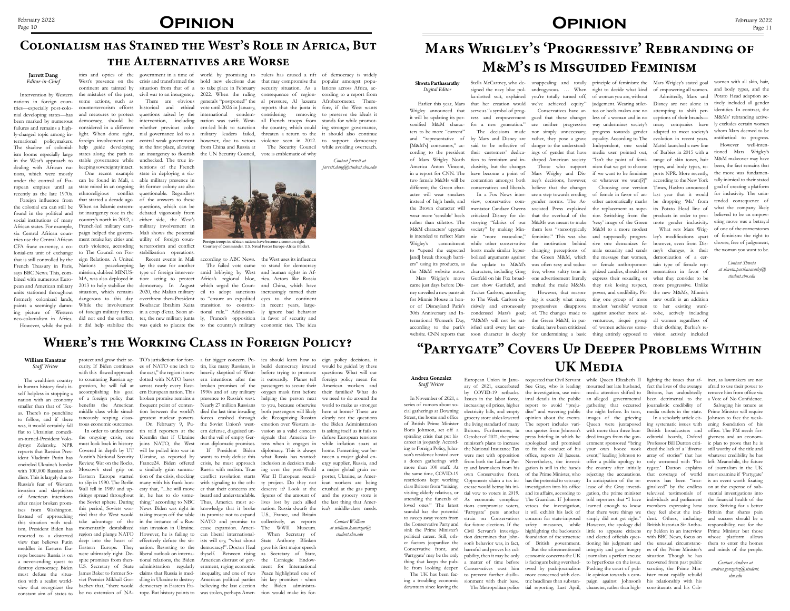# February 2022<br>Page 10 **OPINION**

### **William Kanatzar** *Staff Writer*

The wealthiest country in human history finds itself helpless in stopping a nation with an economy smaller than that of Texas. There's no punchline to follow, and if there was, it would certainly fall flat to Ukrainian comedian-turned-President Volodymyr Zelensky. NPR reports that Russian President Vladimir Putin has encircled Ukraine's border with 100,000 Russian soldiers. This is largely due to Russia's fear of Western invasion and skepticism of American intentions after major broken promises from Washington. Instead of approaching this situation with realism, President Biden has resorted to a distorted view that believes Putin meddles in Eastern Europe because Russia is on a never-ending quest to destroy democracy. Biden tion with a realist worldview that recognizes the

must defuse the situa-James Baker to former So-claims that Russia is med-inequality, and one of two Peace highlighted one of constant aim of states to be no extension of NA-rope. But history points to was stolen, perhaps Amer-tion would make its formiddle class while simultrous economic outcomes.

Eastern Europe started tion of the crisis, shocking conflict resolution starts War II European securi-Wall fell in 1989 and up- esty that, "...he will move er that their concerns are risings spread throughout in, he has to do some-heard and understandable. the Soviet sphere. During thing," according to NBC Thus, America must acthis period, Soviets wor-News. Biden was right in knowledge that it broke region and plunge NATO However, he is failing to can liberal international-

protect and grow their se-TO's jurisdiction for forc-a far bigger concern. Pu-ica should learn how to eign policy decisions, it curity. If Biden continues es of NATO one inch to tin, like many Russians, is build democracy inward would be guided by these with this flawed approach the east," the region is now heavily skeptical of West- before trying to promote to countering Russian ag-dotted with NATO bases ern intentions after the it outwardly. Planes tell gression, he will fail at across nearly every East-broken promises of the passengers to secure their accomplishing his goal ern European nation. This 1990s and of any military oxygen mask first before their families? What do of a foreign policy that broken promise remains a presence to Russia's west. helping the person next we need to do around the benefits the American frequent point of conten-Nearly 27 million Russians to you, because otherwise world to make us stronger taneously reaping disas-greatest nuclear powers. forces crashed through die. Recognizing Russian clearly not the questions In order to understand tin told reporters at the ern defense, disguised un-vasion as a valid concern is asking itself as it fails to the ongoing crisis, one Kremlin that if Ukraine der the veil of empty Ger-signals that America lis-defuse European tensions must look back in history. joins NATO, the West man diplomatic promises. tens when it engages in while inflation soars at Covered in depth by UT will be pulled into war in If President Biden diplomacy. This is always home. Fomenting war be-Austin's National Security Ukraine, as reported by wants to truly defuse this what Russia has wanted: tween a major global en-Review, War on the Rocks, France24. Biden offered crisis, he must approach inclusion in decision mak-ergy supplier, Russia, and Moscow's steel grip on a similarly grim summa-Russia with realism. True ing over the post-World to slip in 1990. The Berlin many with his frank hon-with signaling to the oth-ty project. Do they not ican workers are being ried that the West would taking troops off the table its promise not to expand U.S., France, and Britain take advantage of the in the instance of a Rus-NATO and promise to collectively, as reports momentarily destabilized sian invasion in Ukraine. cease expansion. Ameri-The WWII Museum. tion between the world's died the last time invading both passengers will likely On February 9, Pu-the Soviet Union's west-emotion over Western indeserve it? Look at the crushed at the gas pump figures of the amount of lives lost by each allied nation. Russia dwarfs the When Secretary of questions: What will our a major global grain ex-

deep into the heart of effectively defuse the sit-ists will cry, "what about State Anthony Blinken Eastern Europe. They uation. Resorting to the democracy!". Doctor Heal gave his first major speech were ultimately right. De-liberal outlook on interna-thyself. Between rising as Secretary of State, spite promises from then- tional relations, the Biden American distrust of gov- the Carniegie Endow-U.S. Secretary of State administration regularly ernment, raging economic ment for International viet Premier Mikhail Gor- dling in Ukraine to destroy American political parties his key promises - when bachev that, "there would democracy in Eastern Eu-believing the last election the Biden administra-

foreign policy mean for American workers and

here at home? These are

the Biden Administration

porter, Ukraine, as Amer-

and the grocery store is the last thing that America's middle-class needs.

> *Contact William at william.kanatzar@ student.shu.edu*

## **Where's the Working Class in Foreign Policy?**

## **Colonialism has Stained the West's Role in Africa, But the Alternatives are Worse**

### **Jarrett Dang** *Editor-in-Chief*

ress and empowerment gued that these changes less of a woman and in no ceptions of their brands for a new generation." are neither progressive way undermines society's many companies have ly excludes certain women by Mars and Disney are rather, they pose a grave equality. According to The evolution in recent years. antithetical to progress. nor simply unnecessary; progress towards gender adapted to meet society's danger to the understand-Independent, one social Mattel launched a new line ings of gender that have media user pointed out, of Barbies in 2015 with a tioned Mars Wrigley's shaped American society. "Isn't the point of femi- range of skin tones, hair M&M makeover may have

Intervention by Western nations in foreign countries—especially post-colonial developing states—has been marked by numerous failures and remains a highly-charged topic among international policymakers. The shadow of colonialism looms especially large in the West's approach to stable governance while unchecked. The true indealing with African na-keeping sovereignty intact. tentions of the French tions, which were mostly under the control of European empires until as recently as the late 1970s.

some actions, such as

counterterrorism efforts historical and ethical light. When done right, nial governance led to a military leaders failed, help guide developing in the first place, allowing from China and Russia at states along the path to an insurgency to flourish One recent example state in deploying a sizcan be found in Mali, a able military presence in state mired in an ongoing its former colony are also ethnoreligious conflict questionable. Regardless that started a decade ago. of the answers to these country's north in 2012, a either side, the West's paign helped the govern-Mali shows the potential questions, which can be stabilization operations.

However, while the pol- it did help stabilize the was quick to placate the to the country's military economic ties. The idea mission, dubbed MINUS-type of foreign interven-amid lobbying by West and human rights in Af-MA, was also deployed in tion: acting to protect Africa's regional bloc, rica. Actors like Russia

Those who support nism that we get to choose types, and body types, re- been, the fact remains that ney's decisions, however, or whatever we want[?]" according to the New York tally inimical to their stated However well-intenthe move was fundamengoal of creating a platform tended consequence of what the company likely believed to be an empowering move was a betrayal of one of the cornerstones of feminism: the right to choose, free of judgement, the woman you want to be.

Foreign influence from the colonial era can still be When an Islamic extremfound in the political and ist insurgency rose in the debated vigorously from social institutions of many African states. For example, French-led military cam-military involvement in six Central African countries use the Central African ment retake key cities and utility of foreign coun-CFA franc currency, a co- curb violence, according terterrorism and conflict lonial-era unit of exchange to The Council on Forthat is still controlled by the eign Relations. A United French Treasury in Paris, Nations peacekeeping lay the case for another says BBC News. This, combined with numerous European and American military 2013 to help stabilize the democracy. In August which urged the Coun-and China, which have units stationed throughout situation, which remains 2020, the Malian military cil to adopt sanctions increasingly turned their formerly colonized lands, dangerous to this day. overthrew then-President to "ensure an expedited eyes to the continent paints a seemingly damn-While the involvement Boubacar Ibrahim Keita transition to constitu-in recent years, largeing picture of Western of foreign military forces in a coup d'etat. Soon af-tional rule." Additional-ly ignore bad behavior neo-colonialism in Africa. did not end the conflict, ter, the new military junta ly, France's opposition in favor of security and

itics and optics of the government in a time of world by promising to rulers has caused a rift of democracy is widely West's presence on the crisis and transformed the hold new elections due that may compromise the popular amongst popucontinent are tainted by situation from that of a to take place in February security situation. As a lations across Africa, acthe mistakes of the past, civil war to an insurgency. 2022. When the ruling consequence of region-cording to a report from and measures to protect questions raised by the international condem-considering removing to preserve the ideals it democracy, should be intervention, including nation was swift. West-all French troops from stands for while promotconsidered in a different whether previous colo-ern-led bids to sanction the country, which could foreign involvement can central weak government however, due to vetoes violence seen in 2012. to support democracy There are obvious generals "postponed" the al pressure, Al Jazeera Afrobarometer. Therevote until 2026 in January, reports that the junta is fore, if the West wants

> In November of 2021, a Issues in the labor force, imal details in the public series of rumors about social gatherings at Downing Street, the home and office of British Prime Minister the living standard of many Boris Johnson, set off a Britons. Furthermore, in ous quotes from Johnson's spiraling crisis that put his October of 2021, the prime press briefing in which he dred images from the gov-editorial boards, Oxford career in jeopardy. Accord- minister's plans to increase apologized and promised ernment sponsored "bring Professor Bill Dutton criti- ic plan to prove that he is ing to Foreign Policy, John-the National Insurance Tax to fix the conduct of his your own booze work cized the lack of a "diverse still worthy of the title and son's residence hosted over were met with opposition office, reports Al Jazeera. event," leading Johnson to array of stories" that has whatever credibility he has a dozen gatherings with from both the Labour Par- Nevertheless, the investi- offer a public apology to only worsened with 'Par- left. Meanwhile, the future more than 100 staff. At ty and lawmakers from his gation is still in the hands the country after initially tygate.' Dutton explains of journalism in the UK the same time, COVID-19 own Conservative front. of the Prime Minister, who rejecting the accusations. that coverage of world must examine if 'Partygate' restrictions kept working Opponents claim a tax in- has the potential to veto any In anticipation of the re- events has been "mar- is an event worth fixating class Britons from "mixing, crease would betray his ini- investigation into his office lease of the Gray investi- ginalized" by the endless on at the expense of subvisiting elderly relatives, or tial vow to voters in 2019. and its affairs, according to gation, the prime minister televised testimonials of stantial investigations into attending the funerals of As economic complica-The Guardian. If Johnson told reporters that "I have individuals and parliament the financial health of the loved ones." The latest tions compromise voters, vetoes the investigation, learned enough to know members expressing how state. Striving for a better scandal has the potential Partygate' puts another it will exhibit his lack of that there were things we they feel about the inci- Britain that shares pain to sweep away voters from strain on Conservatives concern for state-imposed simply did not get right." dent. Others, including and success should be a the Conservative Party and for future elections. If the safety measures, while However, the apology did British historian Sir Antho-responsibility, not for the sink the Prime Minister's Civil Servant's investigapolitical career. Still, oth- tion determines that John- foundation of the structure and elected officials ques- with BBC News, focus on whose platform allows er factors jeopardize the son's behavior was, in fact, of British government. tioning his judgment and the unusual circumstanc-them to enter the homes Conservative front, and harmful and proves his cul-'Partygate' may be the only pability, then it may be only economic concerns the UK journalists a perfect excuse situation. Though he has thing that keeps the pub- a matter of time before is facing are being overshad- to hyperfocus on the issue. recovered from past public lic from looking deeper. Conservatives oust him owed by pack-journalism Pushing the court of pub-scrutiny, the Prime Min-The UK has been fac- to prevent further disillu- more concerned with elec- lic opinion towards a cam- ister must rapidly rebuild ing a troubling economic sionment with their base. tric headlines than substan-paign against Johnson's his relationship with his downturn since leaving the The Metropolitan police tial reporting. Last April, character, rather than high- constituents and his Cabelectricity bills, and empty grocery store aisles lowered

# **OPINION** February 2022

the UN Security Council,

Recent events in Mali according to ABC News. the West uses its influence The failed vote came to stand for democracy

vote is emblematic of why

threaten a return to the it should also continue The Security Council while avoiding overreach. ing stronger governance,

> *Contact Jarrett at jarrett.dang@student.shu.edu*

# **Mars Wrigley's 'Progressive' Rebranding of M&M's is Misguided Feminism**

### **Shweta Parthasarathy** *Digital Editor*

 Earlier this year, Mars Wrigley announced that it will be updating its personified M&M characters to be more "current" and "representative of [M&M's] consumers," according to the president of Mars Wrigley North America Anton Vincent, in a report for CNN. The two female M&Ms will be different; the Green character will wear sneakers instead of high heels, and the Brown character will wear more 'sensible' heels rather than stilettos. The M&M characters' upgrade is intended to reflect Mars Wrigley's commitment to "upend the expected [and] break through barriers" using its products, as the M&M website notes. Mars Wrigley's move came just days before Disney unveiled a new pantsuit for Minnie Mouse in honor of Disneyland Paris's ternational Women's Day,



ka-dotted suit, explained that her creation would serve as "a symbol of prog-

The decisions made said to be reflective of their customers' dedication to feminism and inclusivity, but the changes have become a point of contention amongst both conservatives and liberals.

In a Fox News interview, conservative commentator Candace Owens criticized Disney for destroying "fabrics of our society" by making Minnie "more masculine," hosts made similar hyperbolized arguments against Gutfeld on his Fox broad-Tucker Carlson, according

while other conservative the motivation behind Mars Wrigley and Dis-if we want to be feminine ports NPR. More recently, believe that the changes M&Ms was meant to make

signed the navy blue pol-androgynous. … When right to decide what kind of empowering all women. and body types, and the you're totally turned off, of woman you are, without we've achieved equity." judgement. Wearing stilet-Disney are not alone in tively included all gender Conservatives have ar-tos or heels makes one no attempting to shift per-

30th Anniversary and In-condensed Mars's goal; of. The changes made to against another more ad-robe, actively including according to the park's isfied until every last car- ticular, have been criticized of women achieves some- their clothing. Barbie's rewebsite. CNN reports that toon character is deeply for undermining a basic thing entirely opposed to vision actively included the update to M&M's was often sexy and seduc-or female anthropomor-tain type of female repcharacters, including Greg tive, whose sultry tone in phized candies, should not resentation in favor of cast show Gutfield!, and melted the male M&Ms. they risk losing respect, more progressive. Unlike to The Week. Carlson de-ing is exactly what many ting one group of more new outfit is an addition risively and erroneously progressives disapprove modest 'sensible' women to her existing ward-"M&M's will not be sat-the Green M&M, in par-venturous, risqué group all women regardless of are a step towards eroding of female in favor of an-last year that it would for inclusivity. The uningender norms. The As-other automatically marks be dropping 'Mr.' from sociated Press explained the replacement as supe- its Potato Head line of that the overhaul of the rior. Switching from the products in order to prothem less "stereotypically M&M to a more modest What sets Mars Wrigfeminine." This was also and supposedly progres- ley's modifications apart changing perceptions of male sexuality and sends ney's changes, is their the Green M&M, which the message that women, demonization of a cerone advertisement literally express their sexuality, or what they consider to be However, that reason- power, and credibility. Pit- the new M&Ms, Minnie's 'sexy' image of the Green mote gender inclusivity. sive one demonizes fe-however, even from Dis-

Stella McCartney, who de-unappealing and totally principle of feminism: the Mars Wrigley's stated goal women with all skin, hair,

Choosing one version Times, Hasbro announced

Admittedly, Mars and Potato Head adaption acidentities. In contrast, the M&Ms' rebranding activewhom Mars deemed to be

> *Contact Shweta at shweta.parthasarathy@ student.shu.edu*

## **"Partygate" Covers Up Deeper Problems Within UK Media**

### **Andrea Gonzalez** *Staff Writer*

European Union in Janu-requested that Civil Servant while Queen Elizabeth II lighting the issues that af-inet, as lawmakers are not ary of 2021, exacerbated Sue Gray, who is leading mourned her late husband, by COVID-19 setbacks. the investigation, use min-media attention shifted to increasing oil prices, higher report to avoid "prejudice" and wavering public opinion about the events. The report includes vari-

an alleged governmental gathering that occurred the night before. In turn, images of the grieving Queen were juxtaposed with more than three hun-

highlighting the backwards little to appease citizens ny Seldon in an interview Prime Minister but those But the aforementioned integrity and gave hungry es of the Prime Minister's and minds of the people. In a scholarly article citing systematic issues with British broadcasters and

fect the lives of the average Britons, has undoubtedly been detrimental to the a Vote of No Confidence. journalistic credibility of media outlets in the state.

afraid to use their power to remove him from office via

Salvaging his tenure as Prime Minister will require Johnson to face the weakening foundation of his office. The PM needs forgiveness and an econom-

> *Contact Andrea at andrea.gonzalez@student. shu.edu*



Courtesy of Commander, U.S. Naval Forces Europe-Africa (Flickr).